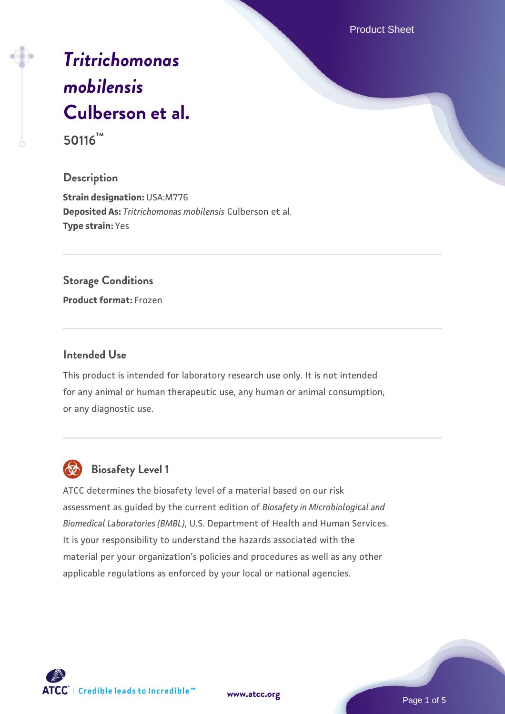Product Sheet

# *[Tritrichomonas](https://www.atcc.org/products/50116) [mobilensis](https://www.atcc.org/products/50116)* **[Culberson et al.](https://www.atcc.org/products/50116) 50116™**

### **Description**

**Strain designation:** USA:M776 **Deposited As:** *Tritrichomonas mobilensis* Culberson et al. **Type strain:** Yes

### **Storage Conditions**

**Product format:** Frozen

### **Intended Use**

This product is intended for laboratory research use only. It is not intended for any animal or human therapeutic use, any human or animal consumption, or any diagnostic use.



## **Biosafety Level 1**

ATCC determines the biosafety level of a material based on our risk assessment as guided by the current edition of *Biosafety in Microbiological and Biomedical Laboratories (BMBL)*, U.S. Department of Health and Human Services. It is your responsibility to understand the hazards associated with the material per your organization's policies and procedures as well as any other applicable regulations as enforced by your local or national agencies.

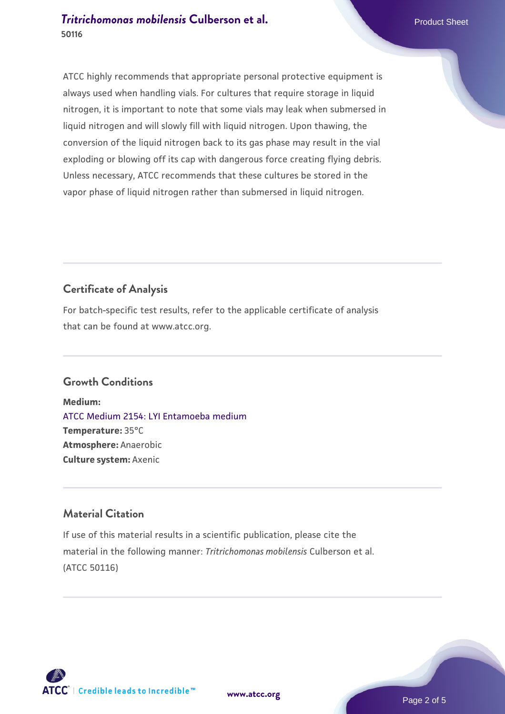### **[Tritrichomonas mobilensis](https://www.atcc.org/products/50116) [Culberson et al.](https://www.atcc.org/products/50116)** Product Sheet **50116**

ATCC highly recommends that appropriate personal protective equipment is always used when handling vials. For cultures that require storage in liquid nitrogen, it is important to note that some vials may leak when submersed in liquid nitrogen and will slowly fill with liquid nitrogen. Upon thawing, the conversion of the liquid nitrogen back to its gas phase may result in the vial exploding or blowing off its cap with dangerous force creating flying debris. Unless necessary, ATCC recommends that these cultures be stored in the vapor phase of liquid nitrogen rather than submersed in liquid nitrogen.

## **Certificate of Analysis**

For batch-specific test results, refer to the applicable certificate of analysis that can be found at www.atcc.org.

### **Growth Conditions**

**Medium:**  [ATCC Medium 2154: LYI Entamoeba medium](https://www.atcc.org/-/media/product-assets/documents/microbial-media-formulations/2/1/5/4/atcc-medium-2154.pdf?rev=b93a2db4f4b047b7be2a517e2f9f886e) **Temperature:** 35°C **Atmosphere:** Anaerobic **Culture system:** Axenic

### **Material Citation**

If use of this material results in a scientific publication, please cite the material in the following manner: *Tritrichomonas mobilensis* Culberson et al. (ATCC 50116)



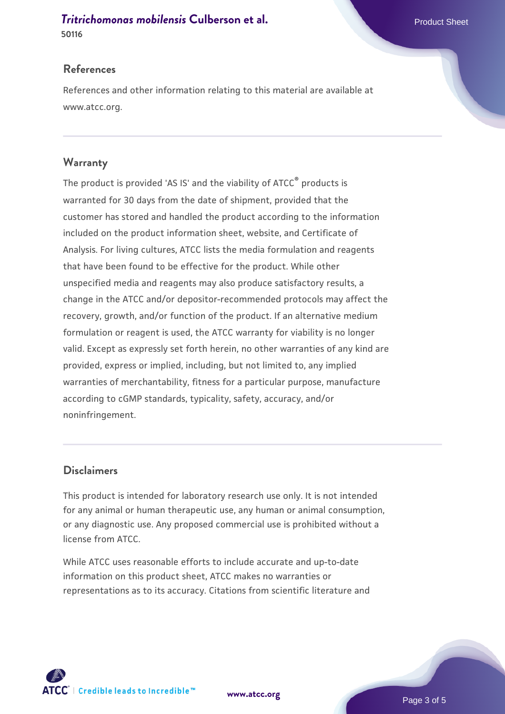# **[Tritrichomonas mobilensis](https://www.atcc.org/products/50116) [Culberson et al.](https://www.atcc.org/products/50116)** Product Sheet

**50116**

### **References**

References and other information relating to this material are available at www.atcc.org.

### **Warranty**

The product is provided 'AS IS' and the viability of ATCC® products is warranted for 30 days from the date of shipment, provided that the customer has stored and handled the product according to the information included on the product information sheet, website, and Certificate of Analysis. For living cultures, ATCC lists the media formulation and reagents that have been found to be effective for the product. While other unspecified media and reagents may also produce satisfactory results, a change in the ATCC and/or depositor-recommended protocols may affect the recovery, growth, and/or function of the product. If an alternative medium formulation or reagent is used, the ATCC warranty for viability is no longer valid. Except as expressly set forth herein, no other warranties of any kind are provided, express or implied, including, but not limited to, any implied warranties of merchantability, fitness for a particular purpose, manufacture according to cGMP standards, typicality, safety, accuracy, and/or noninfringement.

### **Disclaimers**

This product is intended for laboratory research use only. It is not intended for any animal or human therapeutic use, any human or animal consumption, or any diagnostic use. Any proposed commercial use is prohibited without a license from ATCC.

While ATCC uses reasonable efforts to include accurate and up-to-date information on this product sheet, ATCC makes no warranties or representations as to its accuracy. Citations from scientific literature and



**[www.atcc.org](http://www.atcc.org)**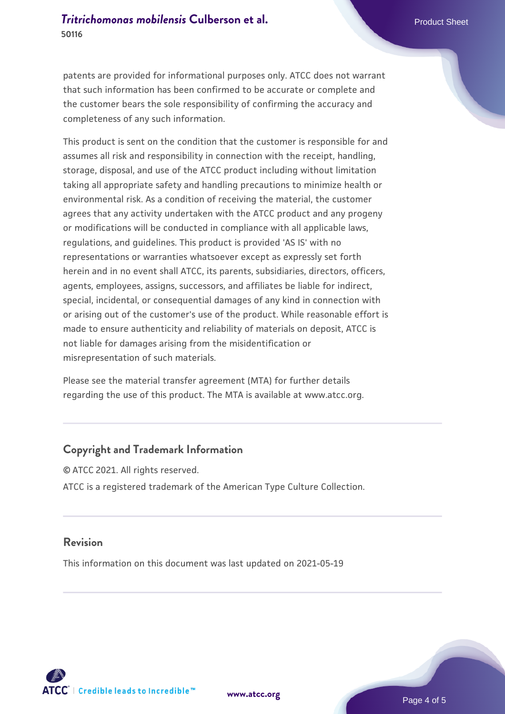patents are provided for informational purposes only. ATCC does not warrant that such information has been confirmed to be accurate or complete and the customer bears the sole responsibility of confirming the accuracy and completeness of any such information.

This product is sent on the condition that the customer is responsible for and assumes all risk and responsibility in connection with the receipt, handling, storage, disposal, and use of the ATCC product including without limitation taking all appropriate safety and handling precautions to minimize health or environmental risk. As a condition of receiving the material, the customer agrees that any activity undertaken with the ATCC product and any progeny or modifications will be conducted in compliance with all applicable laws, regulations, and guidelines. This product is provided 'AS IS' with no representations or warranties whatsoever except as expressly set forth herein and in no event shall ATCC, its parents, subsidiaries, directors, officers, agents, employees, assigns, successors, and affiliates be liable for indirect, special, incidental, or consequential damages of any kind in connection with or arising out of the customer's use of the product. While reasonable effort is made to ensure authenticity and reliability of materials on deposit, ATCC is not liable for damages arising from the misidentification or misrepresentation of such materials.

Please see the material transfer agreement (MTA) for further details regarding the use of this product. The MTA is available at www.atcc.org.

### **Copyright and Trademark Information**

© ATCC 2021. All rights reserved. ATCC is a registered trademark of the American Type Culture Collection.

#### **Revision**

This information on this document was last updated on 2021-05-19